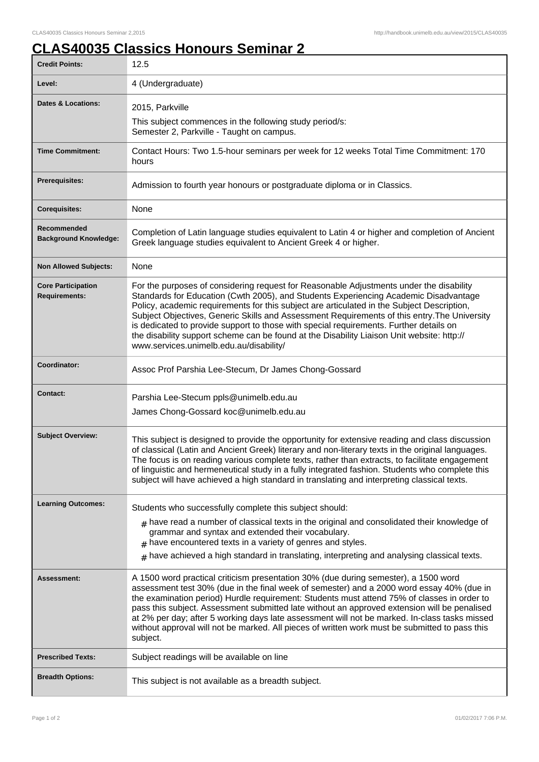## **CLAS40035 Classics Honours Seminar 2**

| <b>Credit Points:</b>                             | 12.5                                                                                                                                                                                                                                                                                                                                                                                                                                                                                                                                                                                                             |
|---------------------------------------------------|------------------------------------------------------------------------------------------------------------------------------------------------------------------------------------------------------------------------------------------------------------------------------------------------------------------------------------------------------------------------------------------------------------------------------------------------------------------------------------------------------------------------------------------------------------------------------------------------------------------|
| Level:                                            | 4 (Undergraduate)                                                                                                                                                                                                                                                                                                                                                                                                                                                                                                                                                                                                |
| Dates & Locations:                                | 2015, Parkville                                                                                                                                                                                                                                                                                                                                                                                                                                                                                                                                                                                                  |
|                                                   | This subject commences in the following study period/s:<br>Semester 2, Parkville - Taught on campus.                                                                                                                                                                                                                                                                                                                                                                                                                                                                                                             |
| <b>Time Commitment:</b>                           | Contact Hours: Two 1.5-hour seminars per week for 12 weeks Total Time Commitment: 170<br>hours                                                                                                                                                                                                                                                                                                                                                                                                                                                                                                                   |
| Prerequisites:                                    | Admission to fourth year honours or postgraduate diploma or in Classics.                                                                                                                                                                                                                                                                                                                                                                                                                                                                                                                                         |
| <b>Corequisites:</b>                              | None                                                                                                                                                                                                                                                                                                                                                                                                                                                                                                                                                                                                             |
| Recommended<br><b>Background Knowledge:</b>       | Completion of Latin language studies equivalent to Latin 4 or higher and completion of Ancient<br>Greek language studies equivalent to Ancient Greek 4 or higher.                                                                                                                                                                                                                                                                                                                                                                                                                                                |
| <b>Non Allowed Subjects:</b>                      | None                                                                                                                                                                                                                                                                                                                                                                                                                                                                                                                                                                                                             |
| <b>Core Participation</b><br><b>Requirements:</b> | For the purposes of considering request for Reasonable Adjustments under the disability<br>Standards for Education (Cwth 2005), and Students Experiencing Academic Disadvantage<br>Policy, academic requirements for this subject are articulated in the Subject Description,<br>Subject Objectives, Generic Skills and Assessment Requirements of this entry. The University<br>is dedicated to provide support to those with special requirements. Further details on<br>the disability support scheme can be found at the Disability Liaison Unit website: http://<br>www.services.unimelb.edu.au/disability/ |
| Coordinator:                                      | Assoc Prof Parshia Lee-Stecum, Dr James Chong-Gossard                                                                                                                                                                                                                                                                                                                                                                                                                                                                                                                                                            |
| <b>Contact:</b>                                   | Parshia Lee-Stecum ppls@unimelb.edu.au<br>James Chong-Gossard koc@unimelb.edu.au                                                                                                                                                                                                                                                                                                                                                                                                                                                                                                                                 |
| <b>Subject Overview:</b>                          | This subject is designed to provide the opportunity for extensive reading and class discussion<br>of classical (Latin and Ancient Greek) literary and non-literary texts in the original languages.<br>The focus is on reading various complete texts, rather than extracts, to facilitate engagement<br>of linguistic and hermeneutical study in a fully integrated fashion. Students who complete this<br>subject will have achieved a high standard in translating and interpreting classical texts.                                                                                                          |
| <b>Learning Outcomes:</b>                         | Students who successfully complete this subject should:                                                                                                                                                                                                                                                                                                                                                                                                                                                                                                                                                          |
|                                                   | $_{\text{\#}}$ have read a number of classical texts in the original and consolidated their knowledge of<br>grammar and syntax and extended their vocabulary.<br>$#$ have encountered texts in a variety of genres and styles.<br>$#$ have achieved a high standard in translating, interpreting and analysing classical texts.                                                                                                                                                                                                                                                                                  |
| <b>Assessment:</b>                                | A 1500 word practical criticism presentation 30% (due during semester), a 1500 word<br>assessment test 30% (due in the final week of semester) and a 2000 word essay 40% (due in<br>the examination period) Hurdle requirement: Students must attend 75% of classes in order to<br>pass this subject. Assessment submitted late without an approved extension will be penalised<br>at 2% per day; after 5 working days late assessment will not be marked. In-class tasks missed<br>without approval will not be marked. All pieces of written work must be submitted to pass this<br>subject.                   |
| <b>Prescribed Texts:</b>                          | Subject readings will be available on line                                                                                                                                                                                                                                                                                                                                                                                                                                                                                                                                                                       |
| <b>Breadth Options:</b>                           | This subject is not available as a breadth subject.                                                                                                                                                                                                                                                                                                                                                                                                                                                                                                                                                              |